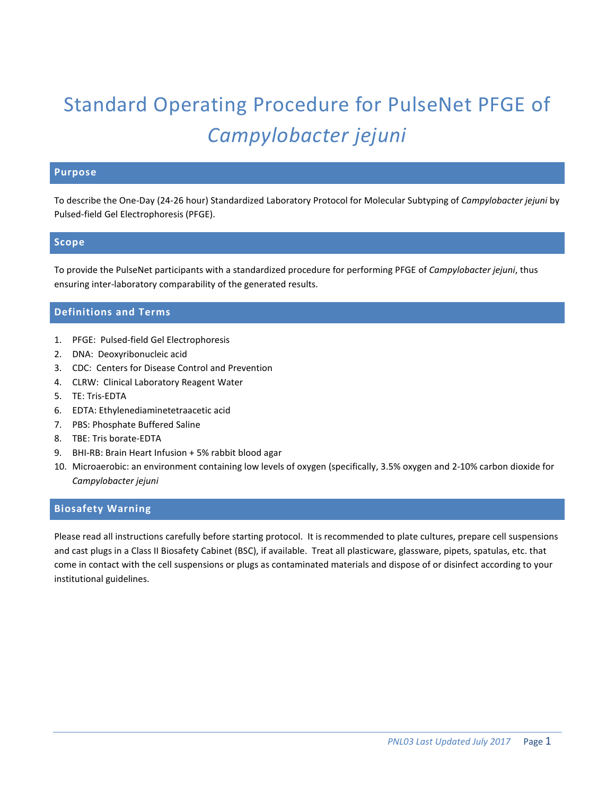# Standard Operating Procedure for PulseNet PFGE of *Campylobacter jejuni*

## **Purpose**

To describe the One-Day (24-26 hour) Standardized Laboratory Protocol for Molecular Subtyping of *Campylobacter jejuni* by Pulsed-field Gel Electrophoresis (PFGE).

#### **Scope**

To provide the PulseNet participants with a standardized procedure for performing PFGE of *Campylobacter jejuni*, thus ensuring inter-laboratory comparability of the generated results.

## **Definitions and Terms**

- 1. PFGE: Pulsed-field Gel Electrophoresis
- 2. DNA: Deoxyribonucleic acid
- 3. CDC: Centers for Disease Control and Prevention
- 4. CLRW: Clinical Laboratory Reagent Water
- 5. TE: Tris-EDTA
- 6. EDTA: Ethylenediaminetetraacetic acid
- 7. PBS: Phosphate Buffered Saline
- 8. TBE: Tris borate-EDTA
- 9. BHI-RB: Brain Heart Infusion + 5% rabbit blood agar
- 10. Microaerobic: an environment containing low levels of oxygen (specifically, 3.5% oxygen and 2-10% carbon dioxide for *Campylobacter jejuni*

## **Biosafety Warning**

Please read all instructions carefully before starting protocol. It is recommended to plate cultures, prepare cell suspensions and cast plugs in a Class II Biosafety Cabinet (BSC), if available. Treat all plasticware, glassware, pipets, spatulas, etc. that come in contact with the cell suspensions or plugs as contaminated materials and dispose of or disinfect according to your institutional guidelines.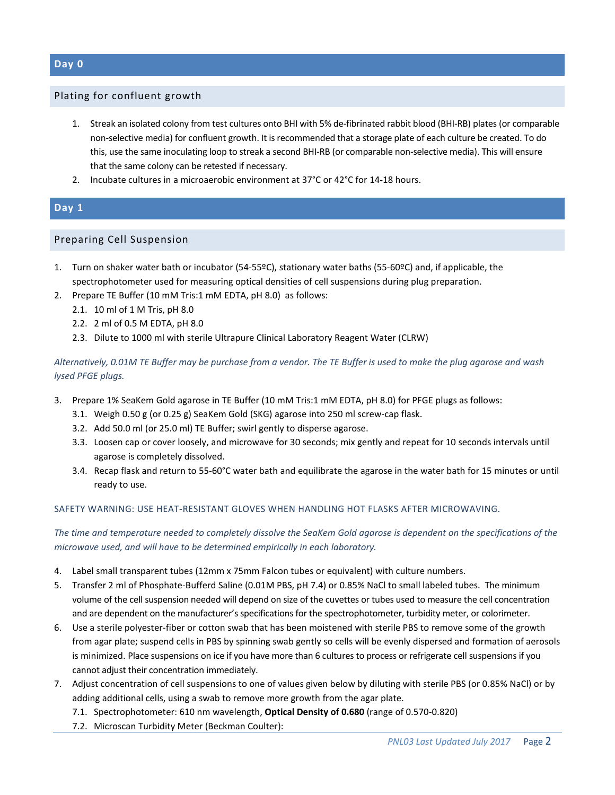#### Plating for confluent growth

- 1. Streak an isolated colony from test cultures onto BHI with 5% de-fibrinated rabbit blood (BHI-RB) plates (or comparable non-selective media) for confluent growth. It is recommended that a storage plate of each culture be created. To do this, use the same inoculating loop to streak a second BHI-RB (or comparable non-selective media). This will ensure that the same colony can be retested if necessary.
- 2. Incubate cultures in a microaerobic environment at 37°C or 42°C for 14-18 hours.

## **Day 1**

## Preparing Cell Suspension

- 1. Turn on shaker water bath or incubator (54-55ºC), stationary water baths (55-60ºC) and, if applicable, the spectrophotometer used for measuring optical densities of cell suspensions during plug preparation.
- 2. Prepare TE Buffer (10 mM Tris:1 mM EDTA, pH 8.0) as follows:
	- 2.1. 10 ml of 1 M Tris, pH 8.0
	- 2.2. 2 ml of 0.5 M EDTA, pH 8.0
	- 2.3. Dilute to 1000 ml with sterile Ultrapure Clinical Laboratory Reagent Water (CLRW)

*Alternatively, 0.01M TE Buffer may be purchase from a vendor. The TE Buffer is used to make the plug agarose and wash lysed PFGE plugs.* 

- 3. Prepare 1% SeaKem Gold agarose in TE Buffer (10 mM Tris:1 mM EDTA, pH 8.0) for PFGE plugs as follows:
	- 3.1. Weigh 0.50 g (or 0.25 g) SeaKem Gold (SKG) agarose into 250 ml screw-cap flask.
	- 3.2. Add 50.0 ml (or 25.0 ml) TE Buffer; swirl gently to disperse agarose.
	- 3.3. Loosen cap or cover loosely, and microwave for 30 seconds; mix gently and repeat for 10 seconds intervals until agarose is completely dissolved.
	- 3.4. Recap flask and return to 55-60°C water bath and equilibrate the agarose in the water bath for 15 minutes or until ready to use.

#### SAFETY WARNING: USE HEAT-RESISTANT GLOVES WHEN HANDLING HOT FLASKS AFTER MICROWAVING.

*The time and temperature needed to completely dissolve the SeaKem Gold agarose is dependent on the specifications of the microwave used, and will have to be determined empirically in each laboratory.*

- 4. Label small transparent tubes (12mm x 75mm Falcon tubes or equivalent) with culture numbers.
- 5. Transfer 2 ml of Phosphate-Bufferd Saline (0.01M PBS, pH 7.4) or 0.85% NaCl to small labeled tubes. The minimum volume of the cell suspension needed will depend on size of the cuvettes or tubes used to measure the cell concentration and are dependent on the manufacturer's specifications for the spectrophotometer, turbidity meter, or colorimeter.
- 6. Use a sterile polyester-fiber or cotton swab that has been moistened with sterile PBS to remove some of the growth from agar plate; suspend cells in PBS by spinning swab gently so cells will be evenly dispersed and formation of aerosols is minimized. Place suspensions on ice if you have more than 6 cultures to process or refrigerate cell suspensions if you cannot adjust their concentration immediately.
- 7. Adjust concentration of cell suspensions to one of values given below by diluting with sterile PBS (or 0.85% NaCl) or by adding additional cells, using a swab to remove more growth from the agar plate.
	- 7.1. Spectrophotometer: 610 nm wavelength, **Optical Density of 0.680** (range of 0.570-0.820)
	- 7.2. Microscan Turbidity Meter (Beckman Coulter):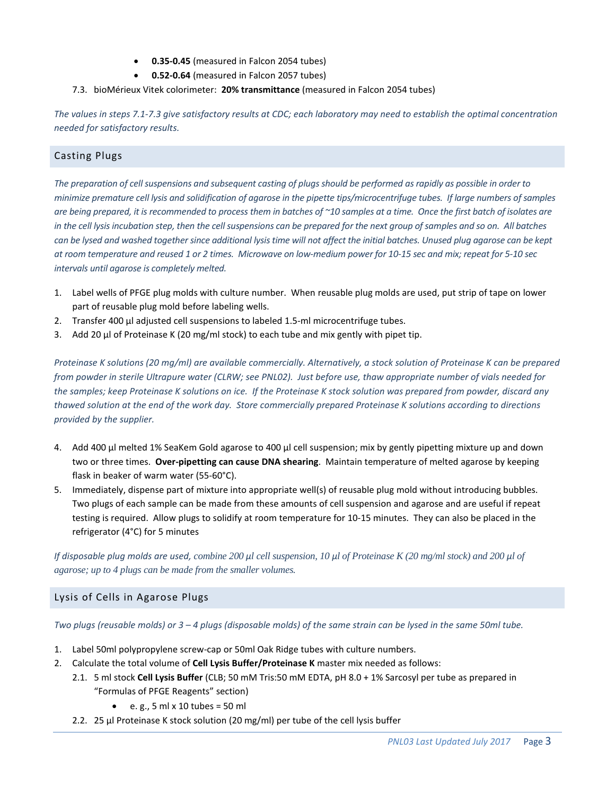- **0.35-0.45** (measured in Falcon 2054 tubes)
- **0.52-0.64** (measured in Falcon 2057 tubes)
- 7.3. bioMérieux Vitek colorimeter: **20% transmittance** (measured in Falcon 2054 tubes)

*The values in steps 7.1-7.3 give satisfactory results at CDC; each laboratory may need to establish the optimal concentration needed for satisfactory results.*

## Casting Plugs

*The preparation of cell suspensions and subsequent casting of plugs should be performed as rapidly as possible in order to minimize premature cell lysis and solidification of agarose in the pipette tips/microcentrifuge tubes. If large numbers of samples are being prepared, it is recommended to process them in batches of ~10 samples at a time. Once the first batch of isolates are in the cell lysis incubation step, then the cell suspensions can be prepared for the next group of samples and so on. All batches can be lysed and washed together since additional lysis time will not affect the initial batches. Unused plug agarose can be kept at room temperature and reused 1 or 2 times. Microwave on low-medium power for 10-15 sec and mix; repeat for 5-10 sec intervals until agarose is completely melted.*

- 1. Label wells of PFGE plug molds with culture number. When reusable plug molds are used, put strip of tape on lower part of reusable plug mold before labeling wells.
- 2. Transfer 400 µl adjusted cell suspensions to labeled 1.5-ml microcentrifuge tubes.
- 3. Add 20  $\mu$ l of Proteinase K (20 mg/ml stock) to each tube and mix gently with pipet tip.

*Proteinase K solutions (20 mg/ml) are available commercially. Alternatively, a stock solution of Proteinase K can be prepared from powder in sterile Ultrapure water (CLRW; see PNL02). Just before use, thaw appropriate number of vials needed for the samples; keep Proteinase K solutions on ice. If the Proteinase K stock solution was prepared from powder, discard any thawed solution at the end of the work day. Store commercially prepared Proteinase K solutions according to directions provided by the supplier.*

- 4. Add 400 µl melted 1% SeaKem Gold agarose to 400 µl cell suspension; mix by gently pipetting mixture up and down two or three times. **Over-pipetting can cause DNA shearing**. Maintain temperature of melted agarose by keeping flask in beaker of warm water (55-60°C).
- 5. Immediately, dispense part of mixture into appropriate well(s) of reusable plug mold without introducing bubbles. Two plugs of each sample can be made from these amounts of cell suspension and agarose and are useful if repeat testing is required. Allow plugs to solidify at room temperature for 10-15 minutes. They can also be placed in the refrigerator (4°C) for 5 minutes

*If disposable plug molds are used, combine 200 μl cell suspension, 10 μl of Proteinase K (20 mg/ml stock) and 200 μl of agarose; up to 4 plugs can be made from the smaller volumes.*

## Lysis of Cells in Agarose Plugs

*Two plugs (reusable molds) or 3 – 4 plugs (disposable molds) of the same strain can be lysed in the same 50ml tube.*

- 1. Label 50ml polypropylene screw-cap or 50ml Oak Ridge tubes with culture numbers.
- 2. Calculate the total volume of **Cell Lysis Buffer/Proteinase K** master mix needed as follows:
	- 2.1. 5 ml stock **Cell Lysis Buffer** (CLB; 50 mM Tris:50 mM EDTA, pH 8.0 + 1% Sarcosyl per tube as prepared in "Formulas of PFGE Reagents" section)
		- $\bullet$  e.g., 5 ml x 10 tubes = 50 ml
	- 2.2. 25 µl Proteinase K stock solution (20 mg/ml) per tube of the cell lysis buffer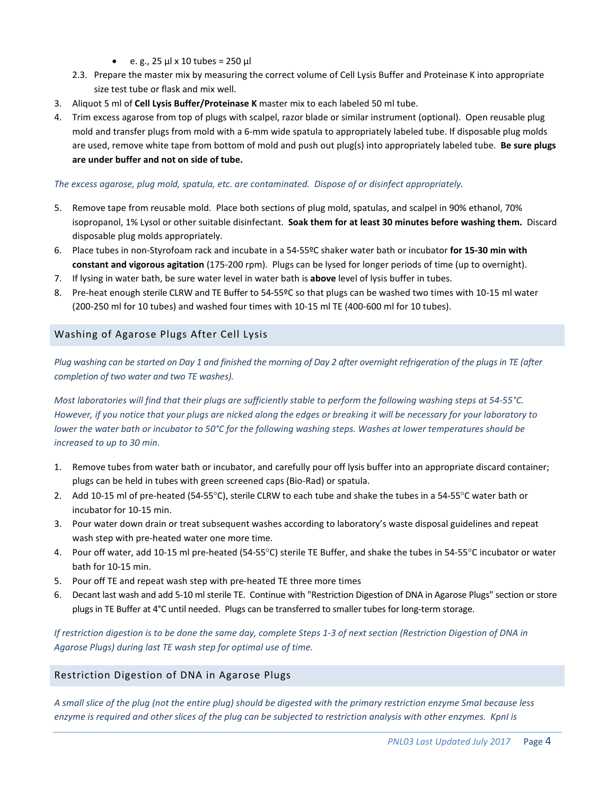- e. g.,  $25 \mu x 10 \text{ tubes} = 250 \mu$
- 2.3. Prepare the master mix by measuring the correct volume of Cell Lysis Buffer and Proteinase K into appropriate size test tube or flask and mix well.
- 3. Aliquot 5 ml of **Cell Lysis Buffer/Proteinase K** master mix to each labeled 50 ml tube.
- 4. Trim excess agarose from top of plugs with scalpel, razor blade or similar instrument (optional). Open reusable plug mold and transfer plugs from mold with a 6-mm wide spatula to appropriately labeled tube. If disposable plug molds are used, remove white tape from bottom of mold and push out plug(s) into appropriately labeled tube. **Be sure plugs are under buffer and not on side of tube.**

#### *The excess agarose, plug mold, spatula, etc. are contaminated. Dispose of or disinfect appropriately.*

- 5. Remove tape from reusable mold. Place both sections of plug mold, spatulas, and scalpel in 90% ethanol, 70% isopropanol, 1% Lysol or other suitable disinfectant. **Soak them for at least 30 minutes before washing them.** Discard disposable plug molds appropriately.
- 6. Place tubes in non-Styrofoam rack and incubate in a 54-55ºC shaker water bath or incubator **for 15-30 min with constant and vigorous agitation** (175-200 rpm). Plugs can be lysed for longer periods of time (up to overnight).
- 7. If lysing in water bath, be sure water level in water bath is **above** level of lysis buffer in tubes.
- 8. Pre-heat enough sterile CLRW and TE Buffer to 54-55ºC so that plugs can be washed two times with 10-15 ml water (200-250 ml for 10 tubes) and washed four times with 10-15 ml TE (400-600 ml for 10 tubes).

## Washing of Agarose Plugs After Cell Lysis

*Plug washing can be started on Day 1 and finished the morning of Day 2 after overnight refrigeration of the plugs in TE (after completion of two water and two TE washes).*

*Most laboratories will find that their plugs are sufficiently stable to perform the following washing steps at 54-55°C. However, if you notice that your plugs are nicked along the edges or breaking it will be necessary for your laboratory to lower the water bath or incubator to 50°C for the following washing steps. Washes at lower temperatures should be increased to up to 30 min.*

- 1. Remove tubes from water bath or incubator, and carefully pour off lysis buffer into an appropriate discard container; plugs can be held in tubes with green screened caps (Bio-Rad) or spatula.
- 2. Add 10-15 ml of pre-heated (54-55°C), sterile CLRW to each tube and shake the tubes in a 54-55°C water bath or incubator for 10-15 min.
- 3. Pour water down drain or treat subsequent washes according to laboratory's waste disposal guidelines and repeat wash step with pre-heated water one more time.
- 4. Pour off water, add 10-15 ml pre-heated (54-55°C) sterile TE Buffer, and shake the tubes in 54-55°C incubator or water bath for 10-15 min.
- 5. Pour off TE and repeat wash step with pre-heated TE three more times
- 6. Decant last wash and add 5-10 ml sterile TE. Continue with "Restriction Digestion of DNA in Agarose Plugs" section or store plugs in TE Buffer at 4°C until needed. Plugs can be transferred to smaller tubes for long-term storage.

*If restriction digestion is to be done the same day, complete Steps 1-3 of next section (Restriction Digestion of DNA in Agarose Plugs) during last TE wash step for optimal use of time.*

## Restriction Digestion of DNA in Agarose Plugs

*A small slice of the plug (not the entire plug) should be digested with the primary restriction enzyme SmaI because less enzyme is required and other slices of the plug can be subjected to restriction analysis with other enzymes. KpnI is*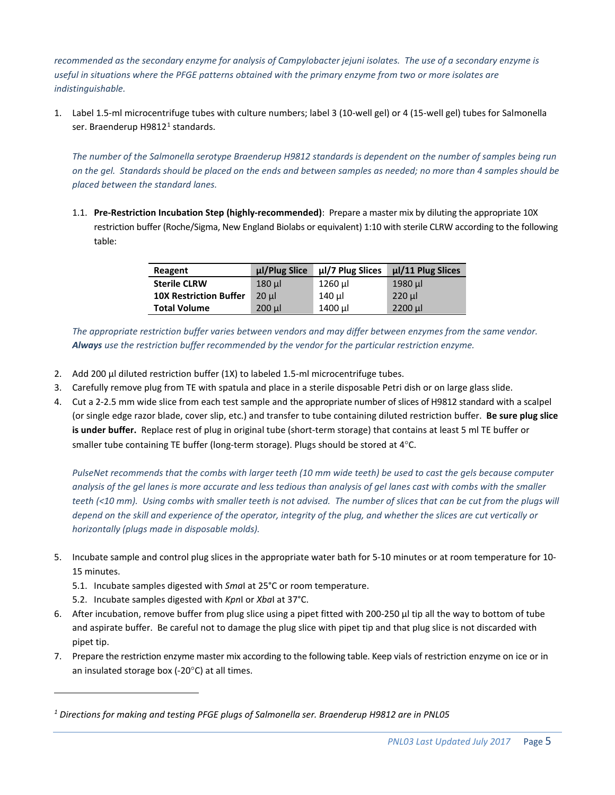*recommended as the secondary enzyme for analysis of Campylobacter jejuni isolates. The use of a secondary enzyme is useful in situations where the PFGE patterns obtained with the primary enzyme from two or more isolates are indistinguishable.*

1. Label 1.5-ml microcentrifuge tubes with culture numbers; label 3 (10-well gel) or 4 (15-well gel) tubes for Salmonella ser. Braenderup H98[1](#page-4-0)2<sup>1</sup> standards.

*The number of the Salmonella serotype Braenderup H9812 standards is dependent on the number of samples being run on the gel. Standards should be placed on the ends and between samples as needed; no more than 4 samples should be placed between the standard lanes.*

1.1. **Pre-Restriction Incubation Step (highly-recommended)**: Prepare a master mix by diluting the appropriate 10X restriction buffer (Roche/Sigma, New England Biolabs or equivalent) 1:10 with sterile CLRW according to the following table:

| Reagent                       | µl/Plug Slice | ul/7 Plug Slices | $\mu$ /11 Plug Slices |
|-------------------------------|---------------|------------------|-----------------------|
| <b>Sterile CLRW</b>           | $180$ µ       | 1260 µl          | 1980 µl               |
| <b>10X Restriction Buffer</b> | $20$ ul       | 140 ul           | $220$ $\mu$           |
| <b>Total Volume</b>           | $200$ $\mu$   | 1400 µl          | $2200$ µ              |

*The appropriate restriction buffer varies between vendors and may differ between enzymes from the same vendor. Always use the restriction buffer recommended by the vendor for the particular restriction enzyme.* 

- 2. Add 200 µl diluted restriction buffer (1X) to labeled 1.5-ml microcentrifuge tubes.
- 3. Carefully remove plug from TE with spatula and place in a sterile disposable Petri dish or on large glass slide.
- 4. Cut a 2-2.5 mm wide slice from each test sample and the appropriate number of slices of H9812 standard with a scalpel (or single edge razor blade, cover slip, etc.) and transfer to tube containing diluted restriction buffer. **Be sure plug slice is under buffer.** Replace rest of plug in original tube (short-term storage) that contains at least 5 ml TE buffer or smaller tube containing TE buffer (long-term storage). Plugs should be stored at 4°C.

*PulseNet recommends that the combs with larger teeth (10 mm wide teeth) be used to cast the gels because computer analysis of the gel lanes is more accurate and less tedious than analysis of gel lanes cast with combs with the smaller teeth (<10 mm). Using combs with smaller teeth is not advised. The number of slices that can be cut from the plugs will depend on the skill and experience of the operator, integrity of the plug, and whether the slices are cut vertically or horizontally (plugs made in disposable molds).*

- 5. Incubate sample and control plug slices in the appropriate water bath for 5-10 minutes or at room temperature for 10- 15 minutes.
	- 5.1. Incubate samples digested with *Sma*I at 25°C or room temperature.
	- 5.2. Incubate samples digested with *Kpn*I or *Xba*I at 37°C.
- 6. After incubation, remove buffer from plug slice using a pipet fitted with 200-250 µl tip all the way to bottom of tube and aspirate buffer. Be careful not to damage the plug slice with pipet tip and that plug slice is not discarded with pipet tip.
- 7. Prepare the restriction enzyme master mix according to the following table. Keep vials of restriction enzyme on ice or in an insulated storage box (-20°C) at all times.

<span id="page-4-0"></span>*<sup>1</sup> Directions for making and testing PFGE plugs of Salmonella ser. Braenderup H9812 are in PNL05*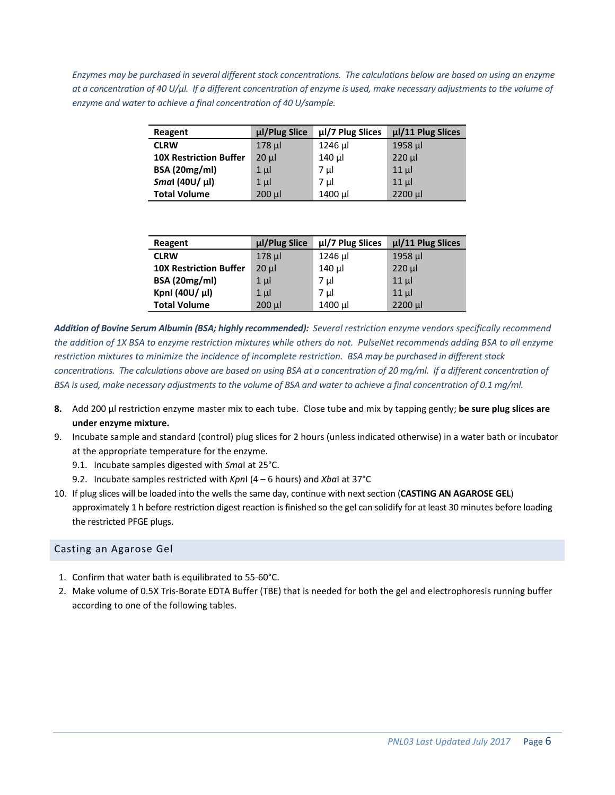*Enzymes may be purchased in several different stock concentrations. The calculations below are based on using an enzyme at a concentration of 40 U/μl. If a different concentration of enzyme is used, make necessary adjustments to the volume of enzyme and water to achieve a final concentration of 40 U/sample.*

| Reagent                       | µl/Plug Slice | µl/7 Plug Slices | µl/11 Plug Slices |
|-------------------------------|---------------|------------------|-------------------|
| <b>CLRW</b>                   | $178$ µ       | 1246 µl          | 1958 µl           |
| <b>10X Restriction Buffer</b> | $20 \mu$      | $140 \mu$        | $220$ $\mu$       |
| <b>BSA (20mg/ml)</b>          | $1 \mu$       | 7 µl             | $11 \mu$          |
| Smal (40U/ µl)                | $1 \mu$       | 7 µl             | $11 \mu$          |
| <b>Total Volume</b>           | $200$ $\mu$   | 1400 µl          | 2200 µl           |

| Reagent                       | µl/Plug Slice | µl/7 Plug Slices | µl/11 Plug Slices |
|-------------------------------|---------------|------------------|-------------------|
| <b>CLRW</b>                   | $178$ µ       | 1246 µl          | 1958 µl           |
| <b>10X Restriction Buffer</b> | $20 \mu$      | 140 µl           | $220$ $\mu$       |
| <b>BSA (20mg/ml)</b>          | $1 \mu$       | 7 µl             | $11$ µ            |
| Kpnl (40U/ μl)                | $1 \mu$       | 7 µl             | $11$ µ            |
| <b>Total Volume</b>           | $200 \mu$     | 1400 µl          | 2200 µl           |

*Addition of Bovine Serum Albumin (BSA; highly recommended): Several restriction enzyme vendors specifically recommend the addition of 1X BSA to enzyme restriction mixtures while others do not. PulseNet recommends adding BSA to all enzyme restriction mixtures to minimize the incidence of incomplete restriction. BSA may be purchased in different stock*  concentrations. The calculations above are based on using BSA at a concentration of 20 mg/ml. If a different concentration of *BSA is used, make necessary adjustments to the volume of BSA and water to achieve a final concentration of 0.1 mg/ml.* 

- **8.** Add 200 µl restriction enzyme master mix to each tube. Close tube and mix by tapping gently; **be sure plug slices are under enzyme mixture.**
- 9. Incubate sample and standard (control) plug slices for 2 hours (unless indicated otherwise) in a water bath or incubator at the appropriate temperature for the enzyme.
	- 9.1. Incubate samples digested with *Sma*I at 25°C.
	- 9.2. Incubate samples restricted with *Kpn*I (4 6 hours) and *Xba*I at 37°C
- 10. If plug slices will be loaded into the wells the same day, continue with next section (**CASTING AN AGAROSE GEL**) approximately 1 h before restriction digest reaction is finished so the gel can solidify for at least 30 minutes before loading the restricted PFGE plugs.

#### Casting an Agarose Gel

- 1. Confirm that water bath is equilibrated to 55-60°C.
- 2. Make volume of 0.5X Tris-Borate EDTA Buffer (TBE) that is needed for both the gel and electrophoresis running buffer according to one of the following tables.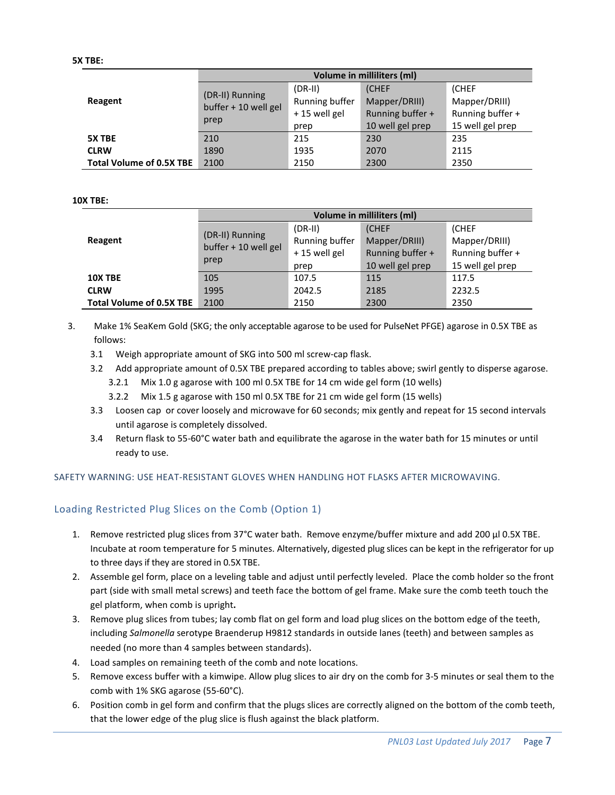|                                 |                                                 |                                                      | <b>Volume in milliliters (ml)</b>                              |                                                                |
|---------------------------------|-------------------------------------------------|------------------------------------------------------|----------------------------------------------------------------|----------------------------------------------------------------|
| Reagent                         | (DR-II) Running<br>buffer + 10 well gel<br>prep | $(DR-III)$<br>Running buffer<br>+15 well gel<br>prep | (CHEF<br>Mapper/DRIII)<br>Running buffer +<br>10 well gel prep | (CHEF<br>Mapper/DRIII)<br>Running buffer +<br>15 well gel prep |
| 5X TBE                          | 210                                             | 215                                                  | 230                                                            | 235                                                            |
| <b>CLRW</b>                     | 1890                                            | 1935                                                 | 2070                                                           | 2115                                                           |
| <b>Total Volume of 0.5X TBE</b> | 2100                                            | 2150                                                 | 2300                                                           | 2350                                                           |

#### **10X TBE:**

|                                 |                                                 |                                             | Volume in milliliters (ml)                       |                                                   |
|---------------------------------|-------------------------------------------------|---------------------------------------------|--------------------------------------------------|---------------------------------------------------|
| Reagent                         | (DR-II) Running<br>buffer + 10 well gel<br>prep | $(DR-II)$<br>Running buffer<br>+15 well gel | <b>CHEF</b><br>Mapper/DRIII)<br>Running buffer + | <b>(CHEF</b><br>Mapper/DRIII)<br>Running buffer + |
|                                 |                                                 | prep                                        | 10 well gel prep                                 | 15 well gel prep                                  |
| 10X TBE                         | 105                                             | 107.5                                       | 115                                              | 117.5                                             |
| <b>CLRW</b>                     | 1995                                            | 2042.5                                      | 2185                                             | 2232.5                                            |
| <b>Total Volume of 0.5X TBE</b> | 2100                                            | 2150                                        | 2300                                             | 2350                                              |

- 3. Make 1% SeaKem Gold (SKG; the only acceptable agarose to be used for PulseNet PFGE) agarose in 0.5X TBE as follows:
	- 3.1 Weigh appropriate amount of SKG into 500 ml screw-cap flask.
	- 3.2 Add appropriate amount of 0.5X TBE prepared according to tables above; swirl gently to disperse agarose.
		- 3.2.1 Mix 1.0 g agarose with 100 ml 0.5X TBE for 14 cm wide gel form (10 wells)
		- 3.2.2 Mix 1.5 g agarose with 150 ml 0.5X TBE for 21 cm wide gel form (15 wells)
	- 3.3 Loosen cap or cover loosely and microwave for 60 seconds; mix gently and repeat for 15 second intervals until agarose is completely dissolved.
	- 3.4 Return flask to 55-60°C water bath and equilibrate the agarose in the water bath for 15 minutes or until ready to use.

#### SAFETY WARNING: USE HEAT-RESISTANT GLOVES WHEN HANDLING HOT FLASKS AFTER MICROWAVING.

#### Loading Restricted Plug Slices on the Comb (Option 1)

- 1. Remove restricted plug slices from 37°C water bath. Remove enzyme/buffer mixture and add 200 µl 0.5X TBE. Incubate at room temperature for 5 minutes. Alternatively, digested plug slices can be kept in the refrigerator for up to three days if they are stored in 0.5X TBE.
- 2. Assemble gel form, place on a leveling table and adjust until perfectly leveled. Place the comb holder so the front part (side with small metal screws) and teeth face the bottom of gel frame. Make sure the comb teeth touch the gel platform, when comb is upright**.**
- 3. Remove plug slices from tubes; lay comb flat on gel form and load plug slices on the bottom edge of the teeth, including *Salmonella* serotype Braenderup H9812 standards in outside lanes (teeth) and between samples as needed (no more than 4 samples between standards).
- 4. Load samples on remaining teeth of the comb and note locations.
- 5. Remove excess buffer with a kimwipe. Allow plug slices to air dry on the comb for 3-5 minutes or seal them to the comb with 1% SKG agarose (55-60°C).
- 6. Position comb in gel form and confirm that the plugs slices are correctly aligned on the bottom of the comb teeth, that the lower edge of the plug slice is flush against the black platform.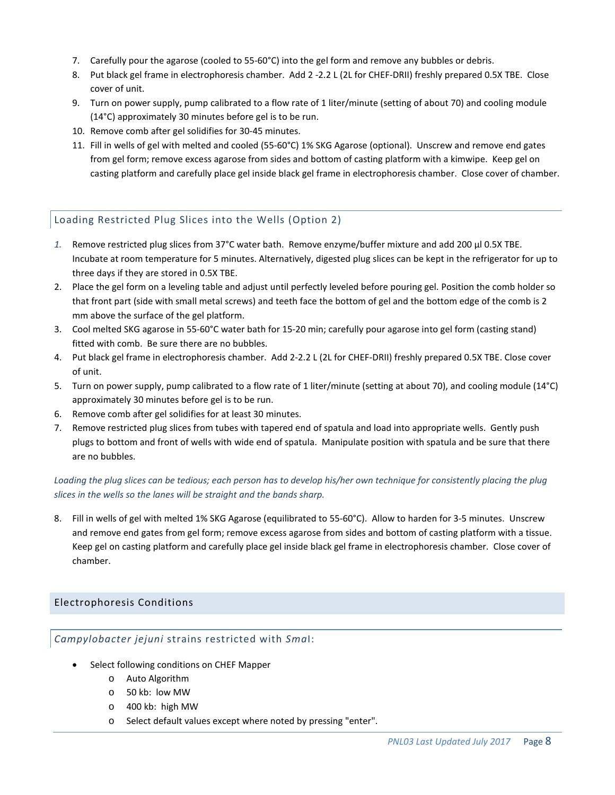- 7. Carefully pour the agarose (cooled to 55-60°C) into the gel form and remove any bubbles or debris.
- 8. Put black gel frame in electrophoresis chamber. Add 2 -2.2 L (2L for CHEF-DRII) freshly prepared 0.5X TBE. Close cover of unit.
- 9. Turn on power supply, pump calibrated to a flow rate of 1 liter/minute (setting of about 70) and cooling module (14°C) approximately 30 minutes before gel is to be run.
- 10. Remove comb after gel solidifies for 30-45 minutes.
- 11. Fill in wells of gel with melted and cooled (55-60°C) 1% SKG Agarose (optional). Unscrew and remove end gates from gel form; remove excess agarose from sides and bottom of casting platform with a kimwipe. Keep gel on casting platform and carefully place gel inside black gel frame in electrophoresis chamber. Close cover of chamber.

## Loading Restricted Plug Slices into the Wells (Option 2)

- *1.* Remove restricted plug slices from 37°C water bath. Remove enzyme/buffer mixture and add 200 µl 0.5X TBE. Incubate at room temperature for 5 minutes. Alternatively, digested plug slices can be kept in the refrigerator for up to three days if they are stored in 0.5X TBE.
- 2. Place the gel form on a leveling table and adjust until perfectly leveled before pouring gel. Position the comb holder so that front part (side with small metal screws) and teeth face the bottom of gel and the bottom edge of the comb is 2 mm above the surface of the gel platform.
- 3. Cool melted SKG agarose in 55-60°C water bath for 15-20 min; carefully pour agarose into gel form (casting stand) fitted with comb. Be sure there are no bubbles.
- 4. Put black gel frame in electrophoresis chamber. Add 2-2.2 L (2L for CHEF-DRII) freshly prepared 0.5X TBE. Close cover of unit.
- 5. Turn on power supply, pump calibrated to a flow rate of 1 liter/minute (setting at about 70), and cooling module (14°C) approximately 30 minutes before gel is to be run.
- 6. Remove comb after gel solidifies for at least 30 minutes.
- 7. Remove restricted plug slices from tubes with tapered end of spatula and load into appropriate wells. Gently push plugs to bottom and front of wells with wide end of spatula. Manipulate position with spatula and be sure that there are no bubbles.

## *Loading the plug slices can be tedious; each person has to develop his/her own technique for consistently placing the plug slices in the wells so the lanes will be straight and the bands sharp.*

8. Fill in wells of gel with melted 1% SKG Agarose (equilibrated to 55-60°C). Allow to harden for 3-5 minutes. Unscrew and remove end gates from gel form; remove excess agarose from sides and bottom of casting platform with a tissue. Keep gel on casting platform and carefully place gel inside black gel frame in electrophoresis chamber. Close cover of chamber.

## Electrophoresis Conditions

## *Campylobacter jejuni* strains restricted with *Sma*I:

- Select following conditions on CHEF Mapper
	- o Auto Algorithm
	- o 50 kb: low MW
	- o 400 kb: high MW
	- o Select default values except where noted by pressing "enter".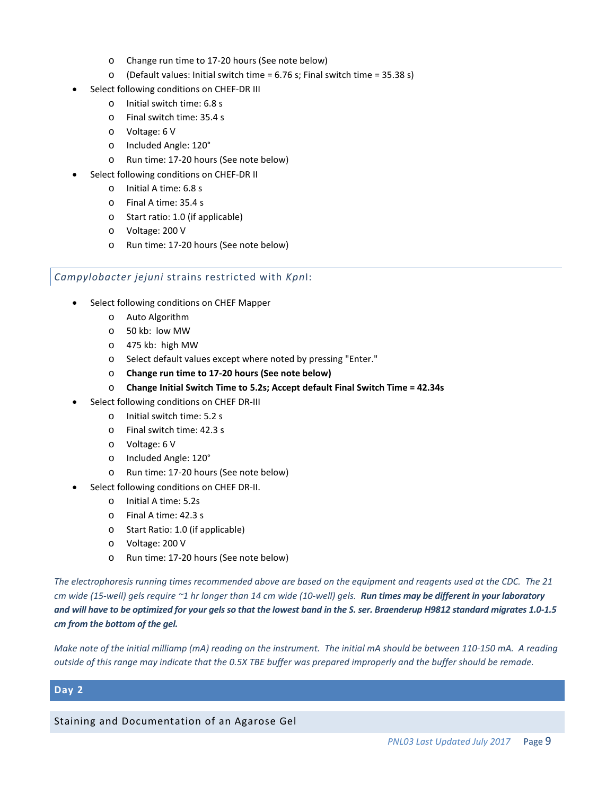- o Change run time to 17-20 hours (See note below)
- o (Default values: Initial switch time = 6.76 s; Final switch time = 35.38 s)
- Select following conditions on CHEF-DR III
	- o Initial switch time: 6.8 s
	- o Final switch time: 35.4 s
	- o Voltage: 6 V
	- o Included Angle: 120°
	- o Run time: 17-20 hours (See note below)
- Select following conditions on CHEF-DR II
	- o Initial A time: 6.8 s
	- o Final A time: 35.4 s
	- o Start ratio: 1.0 (if applicable)
	- o Voltage: 200 V
	- o Run time: 17-20 hours (See note below)

#### *Campylobacter jejuni* strains restricted with *Kpn*I:

- Select following conditions on CHEF Mapper
	- o Auto Algorithm
	- o 50 kb: low MW
	- o 475 kb: high MW
	- o Select default values except where noted by pressing "Enter."
	- o **Change run time to 17-20 hours (See note below)**
	- o **Change Initial Switch Time to 5.2s; Accept default Final Switch Time = 42.34s**
- Select following conditions on CHEF DR-III
	- o Initial switch time: 5.2 s
	- o Final switch time: 42.3 s
	- o Voltage: 6 V
	- o Included Angle: 120°
	- o Run time: 17-20 hours (See note below)
- Select following conditions on CHEF DR-II.
	- o Initial A time: 5.2s
	- o Final A time: 42.3 s
	- o Start Ratio: 1.0 (if applicable)
	- o Voltage: 200 V
	- o Run time: 17-20 hours (See note below)

*The electrophoresis running times recommended above are based on the equipment and reagents used at the CDC. The 21 cm wide (15-well) gels require ~1 hr longer than 14 cm wide (10-well) gels. Run times may be different in your laboratory and will have to be optimized for your gels so that the lowest band in the S. ser. Braenderup H9812 standard migrates 1.0-1.5 cm from the bottom of the gel.*

*Make note of the initial milliamp (mA) reading on the instrument. The initial mA should be between 110-150 mA. A reading outside of this range may indicate that the 0.5X TBE buffer was prepared improperly and the buffer should be remade.* 

## **Day 2**

Staining and Documentation of an Agarose Gel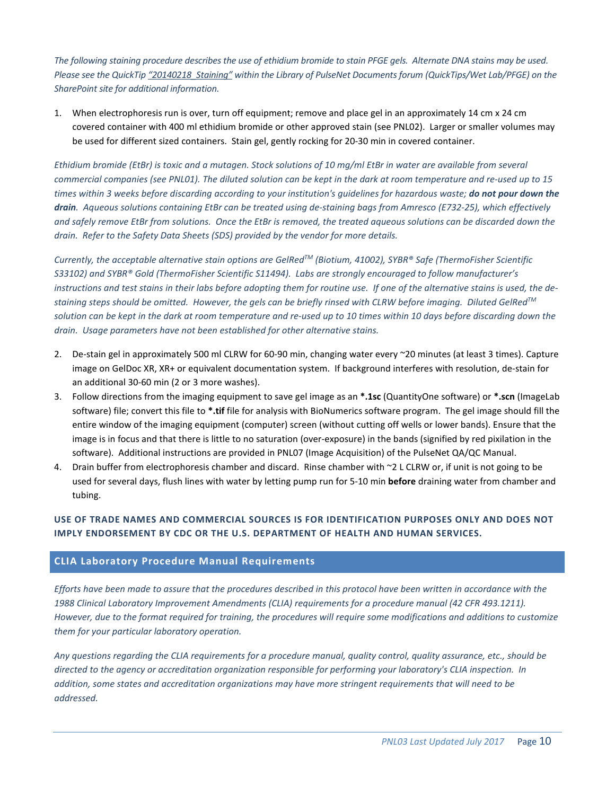*The following staining procedure describes the use of ethidium bromide to stain PFGE gels. Alternate DNA stains may be used. Please see the QuickTi[p "20140218\\_Staining"](https://partner.cdc.gov/Sites/NCEZID/DFWED/EDLB/PulseNet/DL%20Important%20PulseNet%20Documents/QuickTips/Wet%20Lab/PFGE/20140218_Staining.pdf) within the Library of PulseNet Documents forum (QuickTips/Wet Lab/PFGE) on the SharePoint site for additional information.*

1. When electrophoresis run is over, turn off equipment; remove and place gel in an approximately 14 cm x 24 cm covered container with 400 ml ethidium bromide or other approved stain (see PNL02). Larger or smaller volumes may be used for different sized containers. Stain gel, gently rocking for 20-30 min in covered container.

*Ethidium bromide (EtBr) is toxic and a mutagen. Stock solutions of 10 mg/ml EtBr in water are available from several commercial companies (see PNL01). The diluted solution can be kept in the dark at room temperature and re-used up to 15 times within 3 weeks before discarding according to your institution's guidelines for hazardous waste; do not pour down the drain. Aqueous solutions containing EtBr can be treated using de-staining bags from Amresco (E732-25), which effectively and safely remove EtBr from solutions. Once the EtBr is removed, the treated aqueous solutions can be discarded down the drain. Refer to the Safety Data Sheets (SDS) provided by the vendor for more details.*

*Currently, the acceptable alternative stain options are GelRedTM (Biotium, 41002), SYBR® Safe (ThermoFisher Scientific S33102) and SYBR® Gold (ThermoFisher Scientific S11494). Labs are strongly encouraged to follow manufacturer's instructions and test stains in their labs before adopting them for routine use. If one of the alternative stains is used, the destaining steps should be omitted. However, the gels can be briefly rinsed with CLRW before imaging. Diluted GelRedTM solution can be kept in the dark at room temperature and re-used up to 10 times within 10 days before discarding down the drain. Usage parameters have not been established for other alternative stains.*

- 2. De-stain gel in approximately 500 ml CLRW for 60-90 min, changing water every ~20 minutes (at least 3 times). Capture image on GelDoc XR, XR+ or equivalent documentation system. If background interferes with resolution, de-stain for an additional 30-60 min (2 or 3 more washes).
- 3. Follow directions from the imaging equipment to save gel image as an **\*.1sc** (QuantityOne software) or **\*.scn** (ImageLab software) file; convert this file to **\*.tif** file for analysis with BioNumerics software program. The gel image should fill the entire window of the imaging equipment (computer) screen (without cutting off wells or lower bands). Ensure that the image is in focus and that there is little to no saturation (over-exposure) in the bands (signified by red pixilation in the software). Additional instructions are provided in PNL07 (Image Acquisition) of the PulseNet QA/QC Manual.
- 4. Drain buffer from electrophoresis chamber and discard. Rinse chamber with ~2 L CLRW or, if unit is not going to be used for several days, flush lines with water by letting pump run for 5-10 min **before** draining water from chamber and tubing.

## **USE OF TRADE NAMES AND COMMERCIAL SOURCES IS FOR IDENTIFICATION PURPOSES ONLY AND DOES NOT IMPLY ENDORSEMENT BY CDC OR THE U.S. DEPARTMENT OF HEALTH AND HUMAN SERVICES.**

## **CLIA Laboratory Procedure Manual Requirements**

*Efforts have been made to assure that the procedures described in this protocol have been written in accordance with the 1988 Clinical Laboratory Improvement Amendments (CLIA) requirements for a procedure manual (42 CFR 493.1211). However, due to the format required for training, the procedures will require some modifications and additions to customize them for your particular laboratory operation.*

*Any questions regarding the CLIA requirements for a procedure manual, quality control, quality assurance, etc., should be directed to the agency or accreditation organization responsible for performing your laboratory's CLIA inspection. In addition, some states and accreditation organizations may have more stringent requirements that will need to be addressed.*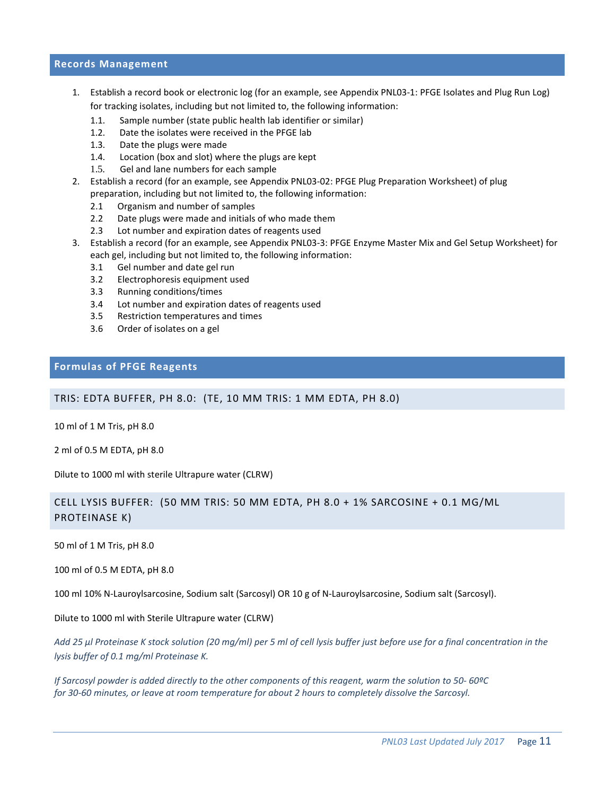#### **Records Management**

- 1. Establish a record book or electronic log (for an example, see Appendix PNL03-1: PFGE Isolates and Plug Run Log) for tracking isolates, including but not limited to, the following information:
	- 1.1. Sample number (state public health lab identifier or similar)
	- 1.2. Date the isolates were received in the PFGE lab
	- 1.3. Date the plugs were made
	- 1.4. Location (box and slot) where the plugs are kept
	- 1.5. Gel and lane numbers for each sample
- 2. Establish a record (for an example, see Appendix PNL03-02: PFGE Plug Preparation Worksheet) of plug preparation, including but not limited to, the following information:
	- 2.1 Organism and number of samples
	- 2.2 Date plugs were made and initials of who made them
	- 2.3 Lot number and expiration dates of reagents used
- 3. Establish a record (for an example, see Appendix PNL03-3: PFGE Enzyme Master Mix and Gel Setup Worksheet) for each gel, including but not limited to, the following information:
	- 3.1 Gel number and date gel run
	- 3.2 Electrophoresis equipment used
	- 3.3 Running conditions/times
	- 3.4 Lot number and expiration dates of reagents used
	- 3.5 Restriction temperatures and times
	- 3.6 Order of isolates on a gel

#### **Formulas of PFGE Reagents**

#### TRIS: EDTA BUFFER, PH 8.0: (TE, 10 MM TRIS: 1 MM EDTA, PH 8.0)

10 ml of 1 M Tris, pH 8.0

2 ml of 0.5 M EDTA, pH 8.0

Dilute to 1000 ml with sterile Ultrapure water (CLRW)

## CELL LYSIS BUFFER: (50 MM TRIS: 50 MM EDTA, PH 8.0 + 1% SARCOSINE + 0.1 MG/ML PROTEINASE K)

50 ml of 1 M Tris, pH 8.0

100 ml of 0.5 M EDTA, pH 8.0

100 ml 10% N-Lauroylsarcosine, Sodium salt (Sarcosyl) OR 10 g of N-Lauroylsarcosine, Sodium salt (Sarcosyl).

Dilute to 1000 ml with Sterile Ultrapure water (CLRW)

*Add 25 µl Proteinase K stock solution (20 mg/ml) per 5 ml of cell lysis buffer just before use for a final concentration in the lysis buffer of 0.1 mg/ml Proteinase K.*

*If Sarcosyl powder is added directly to the other components of this reagent, warm the solution to 50- 60ºC for 30-60 minutes, or leave at room temperature for about 2 hours to completely dissolve the Sarcosyl.*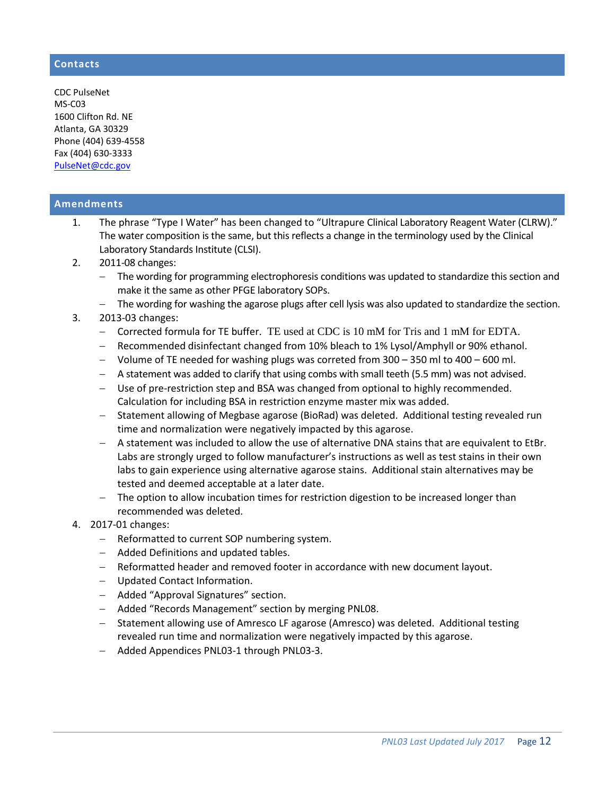## **Contacts**

CDC PulseNet MS-C03 1600 Clifton Rd. NE Atlanta, GA 30329 Phone (404) 639-4558 Fax (404) 630-3333 [PulseNet@cdc.gov](mailto:PulseNet@cdc.gov)

## **Amendments**

- 1. The phrase "Type I Water" has been changed to "Ultrapure Clinical Laboratory Reagent Water (CLRW)." The water composition is the same, but this reflects a change in the terminology used by the Clinical Laboratory Standards Institute (CLSI).
- 2. 2011-08 changes:
	- − The wording for programming electrophoresis conditions was updated to standardize this section and make it the same as other PFGE laboratory SOPs.
	- − The wording for washing the agarose plugs after cell lysis was also updated to standardize the section.
- 3. 2013-03 changes:
	- − Corrected formula for TE buffer. TE used at CDC is 10 mM for Tris and 1 mM for EDTA.
	- − Recommended disinfectant changed from 10% bleach to 1% Lysol/Amphyll or 90% ethanol.
	- − Volume of TE needed for washing plugs was correted from 300 350 ml to 400 600 ml.
	- − A statement was added to clarify that using combs with small teeth (5.5 mm) was not advised.
	- − Use of pre-restriction step and BSA was changed from optional to highly recommended. Calculation for including BSA in restriction enzyme master mix was added.
	- − Statement allowing of Megbase agarose (BioRad) was deleted. Additional testing revealed run time and normalization were negatively impacted by this agarose.
	- − A statement was included to allow the use of alternative DNA stains that are equivalent to EtBr. Labs are strongly urged to follow manufacturer's instructions as well as test stains in their own labs to gain experience using alternative agarose stains. Additional stain alternatives may be tested and deemed acceptable at a later date.
	- − The option to allow incubation times for restriction digestion to be increased longer than recommended was deleted.
- 4. 2017-01 changes:
	- − Reformatted to current SOP numbering system.
	- − Added Definitions and updated tables.
	- − Reformatted header and removed footer in accordance with new document layout.
	- − Updated Contact Information.
	- − Added "Approval Signatures" section.
	- − Added "Records Management" section by merging PNL08.
	- − Statement allowing use of Amresco LF agarose (Amresco) was deleted. Additional testing revealed run time and normalization were negatively impacted by this agarose.
	- − Added Appendices PNL03-1 through PNL03-3.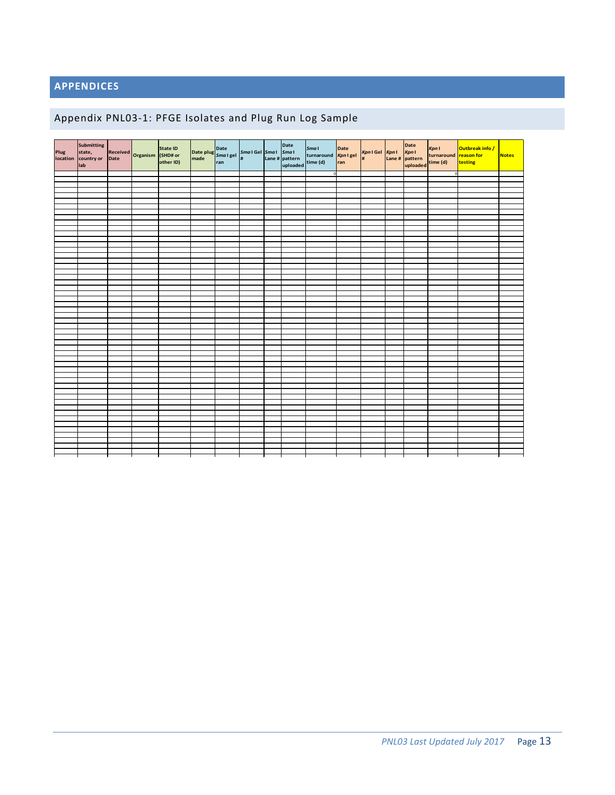# **APPENDICES**

# Appendix PNL03-1: PFGE Isolates and Plug Run Log Sample

| Date plug<br>Smal get   Smal Gel   Smal   Smal   Smal   Smal   Smal   Smal   Smal   Smal   Smal   Smal   Smal   Date   Smal   Date   Smal   Date   Smal   Date   Smal   Date   Smal   Date   Smal   Date   Date   Date   Date  <br>Kpn I<br>turnaround reason for<br>Date<br>Kpn I gel<br>ran<br>state,<br>Received<br>Date Drganism (SHD# or<br>Kpn1 Gel Kpn1 Kpn1<br># Lane # pattern<br>uploaded<br># pattern turnaround<br>uploaded time (d)<br><b>Notes</b><br>country or<br>Lane # pattern<br>time (d)<br>other ID)<br>testing<br>lab<br>$\Omega$ |                  | Submitting |  | State ID |  |  | <b>Smal</b> |  | Date<br>Kpn I | Outbreak info / |  |
|---------------------------------------------------------------------------------------------------------------------------------------------------------------------------------------------------------------------------------------------------------------------------------------------------------------------------------------------------------------------------------------------------------------------------------------------------------------------------------------------------------------------------------------------------------|------------------|------------|--|----------|--|--|-------------|--|---------------|-----------------|--|
|                                                                                                                                                                                                                                                                                                                                                                                                                                                                                                                                                         | Plug<br>location |            |  |          |  |  |             |  |               |                 |  |
|                                                                                                                                                                                                                                                                                                                                                                                                                                                                                                                                                         |                  |            |  |          |  |  |             |  |               |                 |  |
|                                                                                                                                                                                                                                                                                                                                                                                                                                                                                                                                                         |                  |            |  |          |  |  |             |  |               |                 |  |
|                                                                                                                                                                                                                                                                                                                                                                                                                                                                                                                                                         |                  |            |  |          |  |  |             |  |               |                 |  |
|                                                                                                                                                                                                                                                                                                                                                                                                                                                                                                                                                         |                  |            |  |          |  |  |             |  |               |                 |  |
|                                                                                                                                                                                                                                                                                                                                                                                                                                                                                                                                                         |                  |            |  |          |  |  |             |  |               |                 |  |
|                                                                                                                                                                                                                                                                                                                                                                                                                                                                                                                                                         |                  |            |  |          |  |  |             |  |               |                 |  |
|                                                                                                                                                                                                                                                                                                                                                                                                                                                                                                                                                         |                  |            |  |          |  |  |             |  |               |                 |  |
|                                                                                                                                                                                                                                                                                                                                                                                                                                                                                                                                                         |                  |            |  |          |  |  |             |  |               |                 |  |
|                                                                                                                                                                                                                                                                                                                                                                                                                                                                                                                                                         |                  |            |  |          |  |  |             |  |               |                 |  |
|                                                                                                                                                                                                                                                                                                                                                                                                                                                                                                                                                         |                  |            |  |          |  |  |             |  |               |                 |  |
|                                                                                                                                                                                                                                                                                                                                                                                                                                                                                                                                                         |                  |            |  |          |  |  |             |  |               |                 |  |
|                                                                                                                                                                                                                                                                                                                                                                                                                                                                                                                                                         |                  |            |  |          |  |  |             |  |               |                 |  |
|                                                                                                                                                                                                                                                                                                                                                                                                                                                                                                                                                         |                  |            |  |          |  |  |             |  |               |                 |  |
|                                                                                                                                                                                                                                                                                                                                                                                                                                                                                                                                                         |                  |            |  |          |  |  |             |  |               |                 |  |
|                                                                                                                                                                                                                                                                                                                                                                                                                                                                                                                                                         |                  |            |  |          |  |  |             |  |               |                 |  |
|                                                                                                                                                                                                                                                                                                                                                                                                                                                                                                                                                         |                  |            |  |          |  |  |             |  |               |                 |  |
|                                                                                                                                                                                                                                                                                                                                                                                                                                                                                                                                                         |                  |            |  |          |  |  |             |  |               |                 |  |
|                                                                                                                                                                                                                                                                                                                                                                                                                                                                                                                                                         |                  |            |  |          |  |  |             |  |               |                 |  |
|                                                                                                                                                                                                                                                                                                                                                                                                                                                                                                                                                         |                  |            |  |          |  |  |             |  |               |                 |  |
|                                                                                                                                                                                                                                                                                                                                                                                                                                                                                                                                                         |                  |            |  |          |  |  |             |  |               |                 |  |
|                                                                                                                                                                                                                                                                                                                                                                                                                                                                                                                                                         |                  |            |  |          |  |  |             |  |               |                 |  |
|                                                                                                                                                                                                                                                                                                                                                                                                                                                                                                                                                         |                  |            |  |          |  |  |             |  |               |                 |  |
|                                                                                                                                                                                                                                                                                                                                                                                                                                                                                                                                                         |                  |            |  |          |  |  |             |  |               |                 |  |
|                                                                                                                                                                                                                                                                                                                                                                                                                                                                                                                                                         |                  |            |  |          |  |  |             |  |               |                 |  |
|                                                                                                                                                                                                                                                                                                                                                                                                                                                                                                                                                         |                  |            |  |          |  |  |             |  |               |                 |  |
|                                                                                                                                                                                                                                                                                                                                                                                                                                                                                                                                                         |                  |            |  |          |  |  |             |  |               |                 |  |
|                                                                                                                                                                                                                                                                                                                                                                                                                                                                                                                                                         |                  |            |  |          |  |  |             |  |               |                 |  |
|                                                                                                                                                                                                                                                                                                                                                                                                                                                                                                                                                         |                  |            |  |          |  |  |             |  |               |                 |  |
|                                                                                                                                                                                                                                                                                                                                                                                                                                                                                                                                                         |                  |            |  |          |  |  |             |  |               |                 |  |
|                                                                                                                                                                                                                                                                                                                                                                                                                                                                                                                                                         |                  |            |  |          |  |  |             |  |               |                 |  |
|                                                                                                                                                                                                                                                                                                                                                                                                                                                                                                                                                         |                  |            |  |          |  |  |             |  |               |                 |  |
|                                                                                                                                                                                                                                                                                                                                                                                                                                                                                                                                                         |                  |            |  |          |  |  |             |  |               |                 |  |
|                                                                                                                                                                                                                                                                                                                                                                                                                                                                                                                                                         |                  |            |  |          |  |  |             |  |               |                 |  |
|                                                                                                                                                                                                                                                                                                                                                                                                                                                                                                                                                         |                  |            |  |          |  |  |             |  |               |                 |  |
|                                                                                                                                                                                                                                                                                                                                                                                                                                                                                                                                                         |                  |            |  |          |  |  |             |  |               |                 |  |
|                                                                                                                                                                                                                                                                                                                                                                                                                                                                                                                                                         |                  |            |  |          |  |  |             |  |               |                 |  |
|                                                                                                                                                                                                                                                                                                                                                                                                                                                                                                                                                         |                  |            |  |          |  |  |             |  |               |                 |  |
|                                                                                                                                                                                                                                                                                                                                                                                                                                                                                                                                                         |                  |            |  |          |  |  |             |  |               |                 |  |
|                                                                                                                                                                                                                                                                                                                                                                                                                                                                                                                                                         |                  |            |  |          |  |  |             |  |               |                 |  |
|                                                                                                                                                                                                                                                                                                                                                                                                                                                                                                                                                         |                  |            |  |          |  |  |             |  |               |                 |  |
|                                                                                                                                                                                                                                                                                                                                                                                                                                                                                                                                                         |                  |            |  |          |  |  |             |  |               |                 |  |
|                                                                                                                                                                                                                                                                                                                                                                                                                                                                                                                                                         |                  |            |  |          |  |  |             |  |               |                 |  |
|                                                                                                                                                                                                                                                                                                                                                                                                                                                                                                                                                         |                  |            |  |          |  |  |             |  |               |                 |  |
|                                                                                                                                                                                                                                                                                                                                                                                                                                                                                                                                                         |                  |            |  |          |  |  |             |  |               |                 |  |
|                                                                                                                                                                                                                                                                                                                                                                                                                                                                                                                                                         |                  |            |  |          |  |  |             |  |               |                 |  |
|                                                                                                                                                                                                                                                                                                                                                                                                                                                                                                                                                         |                  |            |  |          |  |  |             |  |               |                 |  |
|                                                                                                                                                                                                                                                                                                                                                                                                                                                                                                                                                         |                  |            |  |          |  |  |             |  |               |                 |  |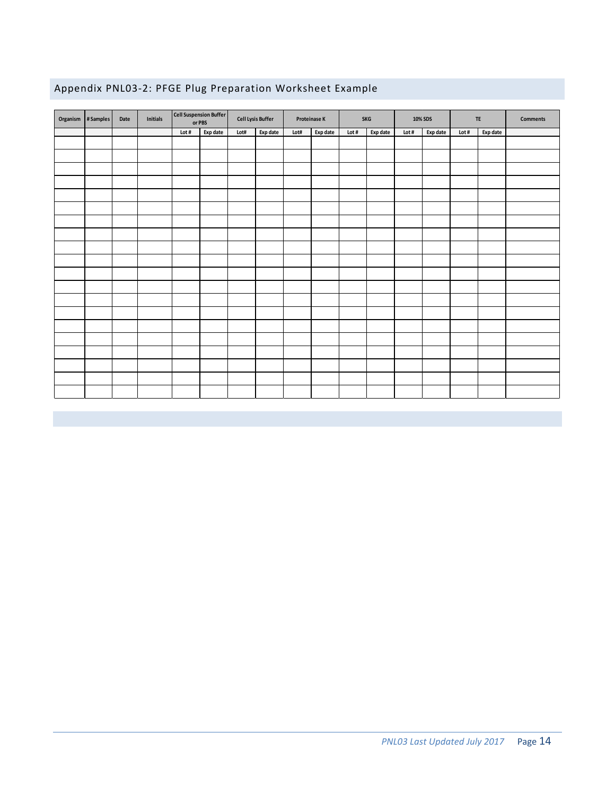|  |  | Appendix PNL03-2: PFGE Plug Preparation Worksheet Example |  |
|--|--|-----------------------------------------------------------|--|
|  |  |                                                           |  |

| Organism  #Samples | Date | <b>Initials</b> | Cell Suspension Buffer | or PBS   | <b>Cell Lysis Buffer</b> |          | Proteinase K |          | <b>SKG</b> |          | 10% SDS |          | <b>TE</b> |          | <b>Comments</b> |
|--------------------|------|-----------------|------------------------|----------|--------------------------|----------|--------------|----------|------------|----------|---------|----------|-----------|----------|-----------------|
|                    |      |                 | Lot $\#$               | Exp date | Lot#                     | Exp date | Lot#         | Exp date | Lot #      | Exp date | Lot #   | Exp date | Lot #     | Exp date |                 |
|                    |      |                 |                        |          |                          |          |              |          |            |          |         |          |           |          |                 |
|                    |      |                 |                        |          |                          |          |              |          |            |          |         |          |           |          |                 |
|                    |      |                 |                        |          |                          |          |              |          |            |          |         |          |           |          |                 |
|                    |      |                 |                        |          |                          |          |              |          |            |          |         |          |           |          |                 |
|                    |      |                 |                        |          |                          |          |              |          |            |          |         |          |           |          |                 |
|                    |      |                 |                        |          |                          |          |              |          |            |          |         |          |           |          |                 |
|                    |      |                 |                        |          |                          |          |              |          |            |          |         |          |           |          |                 |
|                    |      |                 |                        |          |                          |          |              |          |            |          |         |          |           |          |                 |
|                    |      |                 |                        |          |                          |          |              |          |            |          |         |          |           |          |                 |
|                    |      |                 |                        |          |                          |          |              |          |            |          |         |          |           |          |                 |
|                    |      |                 |                        |          |                          |          |              |          |            |          |         |          |           |          |                 |
|                    |      |                 |                        |          |                          |          |              |          |            |          |         |          |           |          |                 |
|                    |      |                 |                        |          |                          |          |              |          |            |          |         |          |           |          |                 |
|                    |      |                 |                        |          |                          |          |              |          |            |          |         |          |           |          |                 |
|                    |      |                 |                        |          |                          |          |              |          |            |          |         |          |           |          |                 |
|                    |      |                 |                        |          |                          |          |              |          |            |          |         |          |           |          |                 |
|                    |      |                 |                        |          |                          |          |              |          |            |          |         |          |           |          |                 |
|                    |      |                 |                        |          |                          |          |              |          |            |          |         |          |           |          |                 |
|                    |      |                 |                        |          |                          |          |              |          |            |          |         |          |           |          |                 |
|                    |      |                 |                        |          |                          |          |              |          |            |          |         |          |           |          |                 |